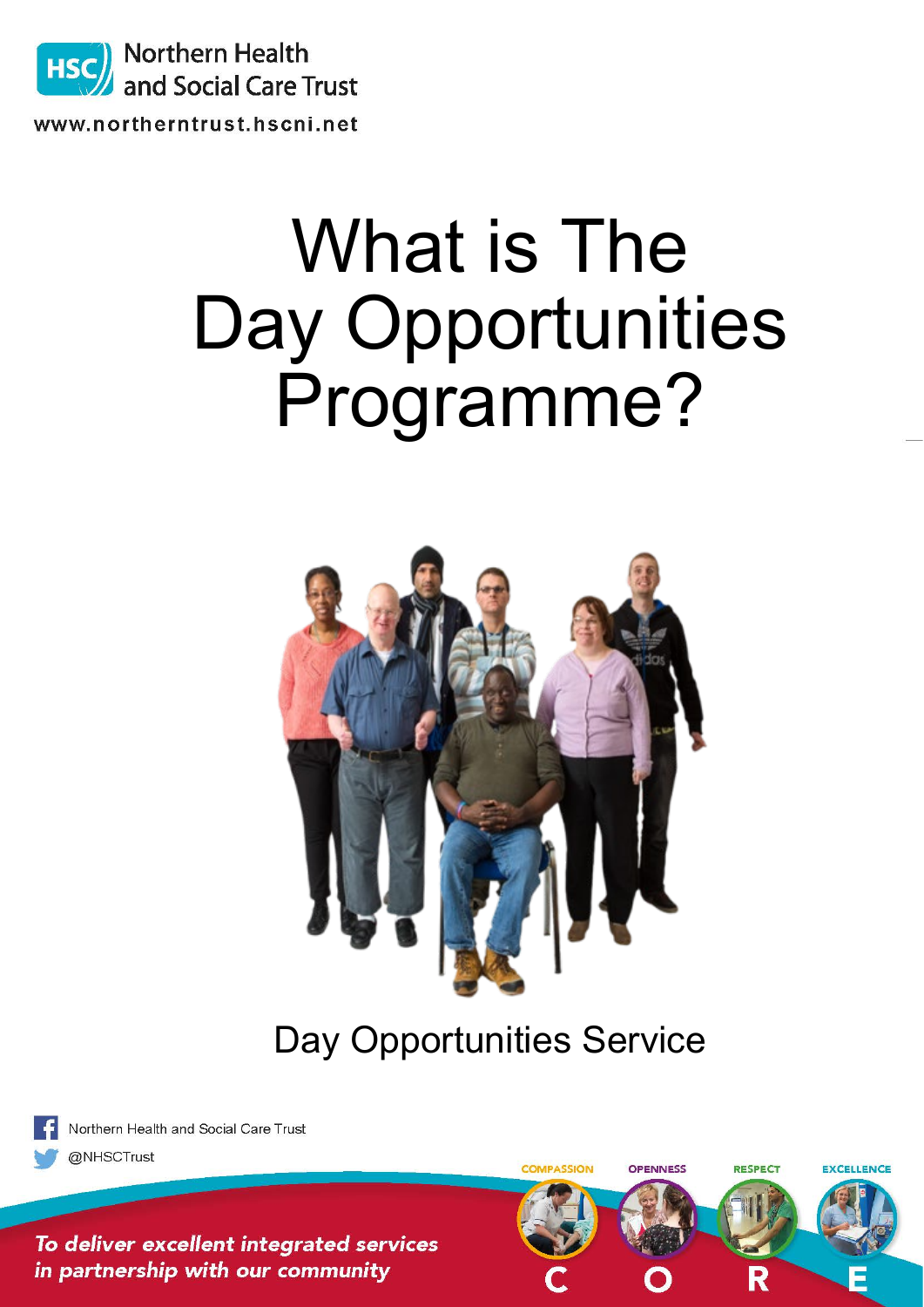

HSC<sup>J</sup> Northern Health and Social Care Trust

www.northerntrust.hscni.net

## What is The Day Opportunities Programme?



Day Opportunities Service



@NHSCTrust

Northern Health and Social Care Trust

COMPASSION OPENNESS **RESPECT** EXCELLENCE To deliver excellent integrated services in partnership with our community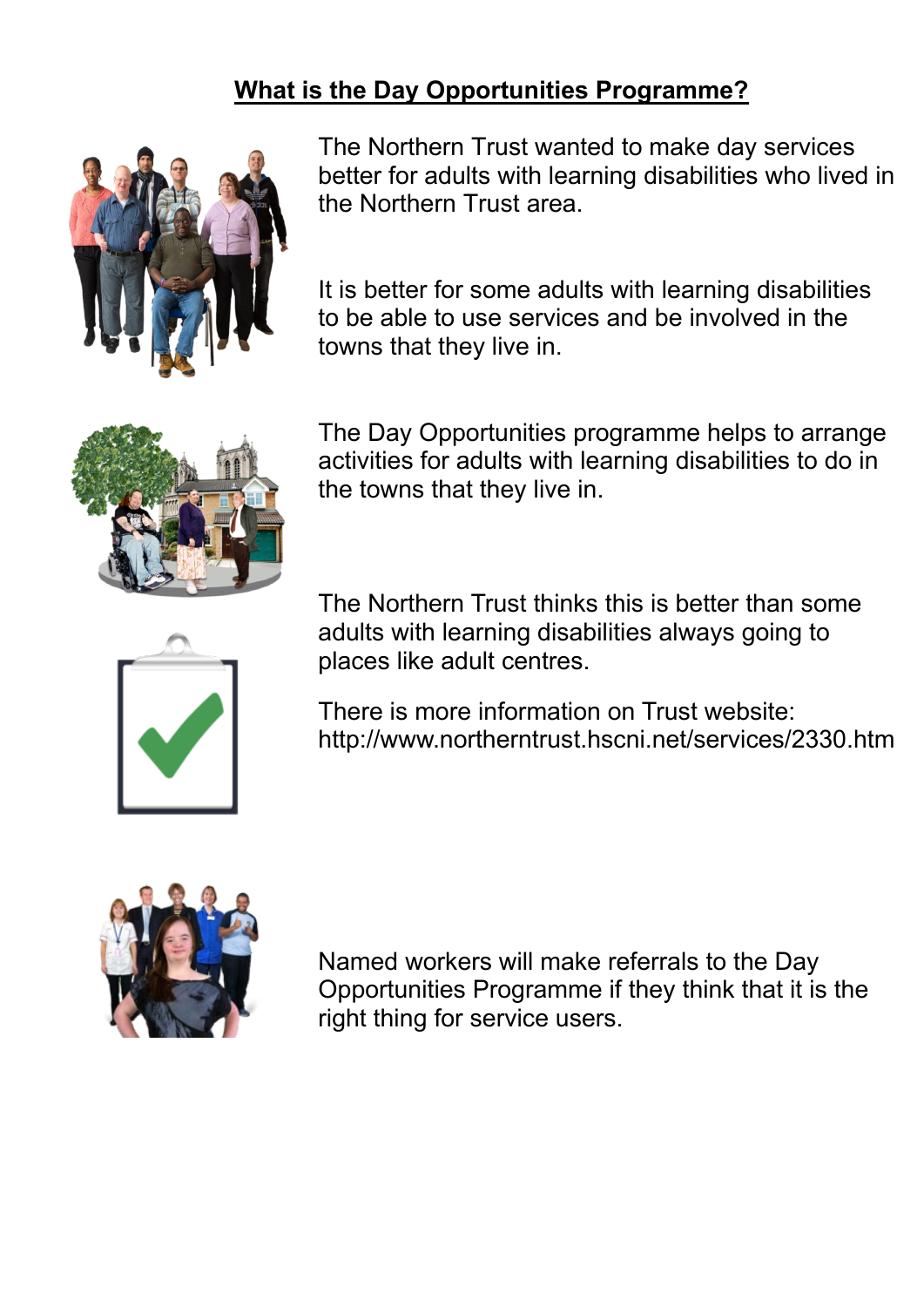## **What is the Day Opportunities Programme?**



The Northern Trust wanted to make day services better for adults with learning disabilities who lived in the Northern Trust area.

It is better for some adults with learning disabilities to be able to use services and be involved in the towns that they live in.



The Day Opportunities programme helps to arrange activities for adults with learning disabilities to do in the towns that they live in.



The Northern Trust thinks this is better than some adults with learning disabilities always going to places like adult centres.

There is more information on Trust website: http://www.northerntrust.hscni.net/services/2330.htm



Named workers will make referrals to the Day Opportunities Programme if they think that it is the right thing for service users.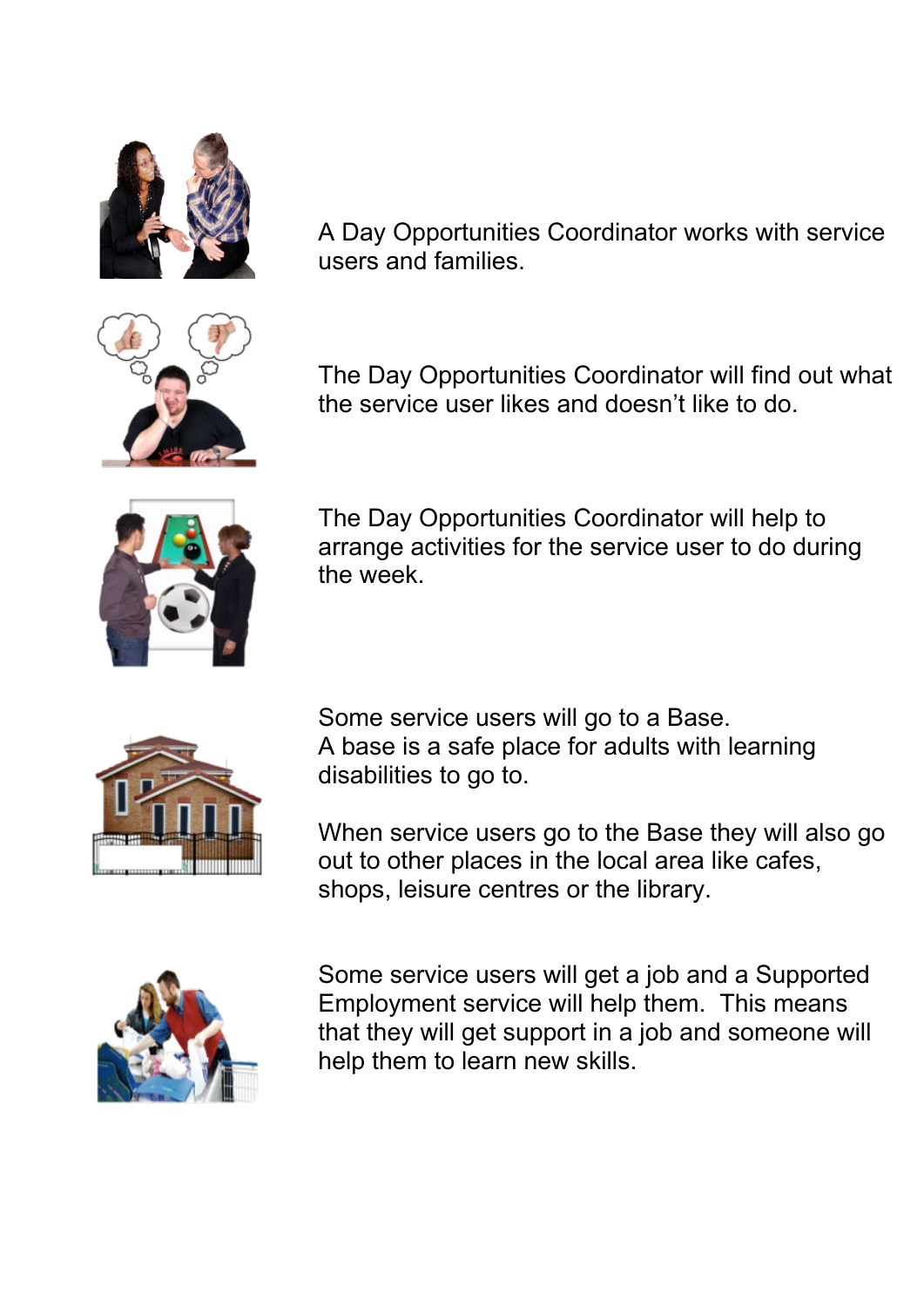



A Day Opportunities Coordinator works with service users and families.

The Day Opportunities Coordinator will find out what the service user likes and doesn't like to do.



The Day Opportunities Coordinator will help to arrange activities for the service user to do during the week.



Some service users will go to a Base. A base is a safe place for adults with learning disabilities to go to.

When service users go to the Base they will also go out to other places in the local area like cafes, shops, leisure centres or the library.



Some service users will get a job and a Supported Employment service will help them. This means that they will get support in a job and someone will help them to learn new skills.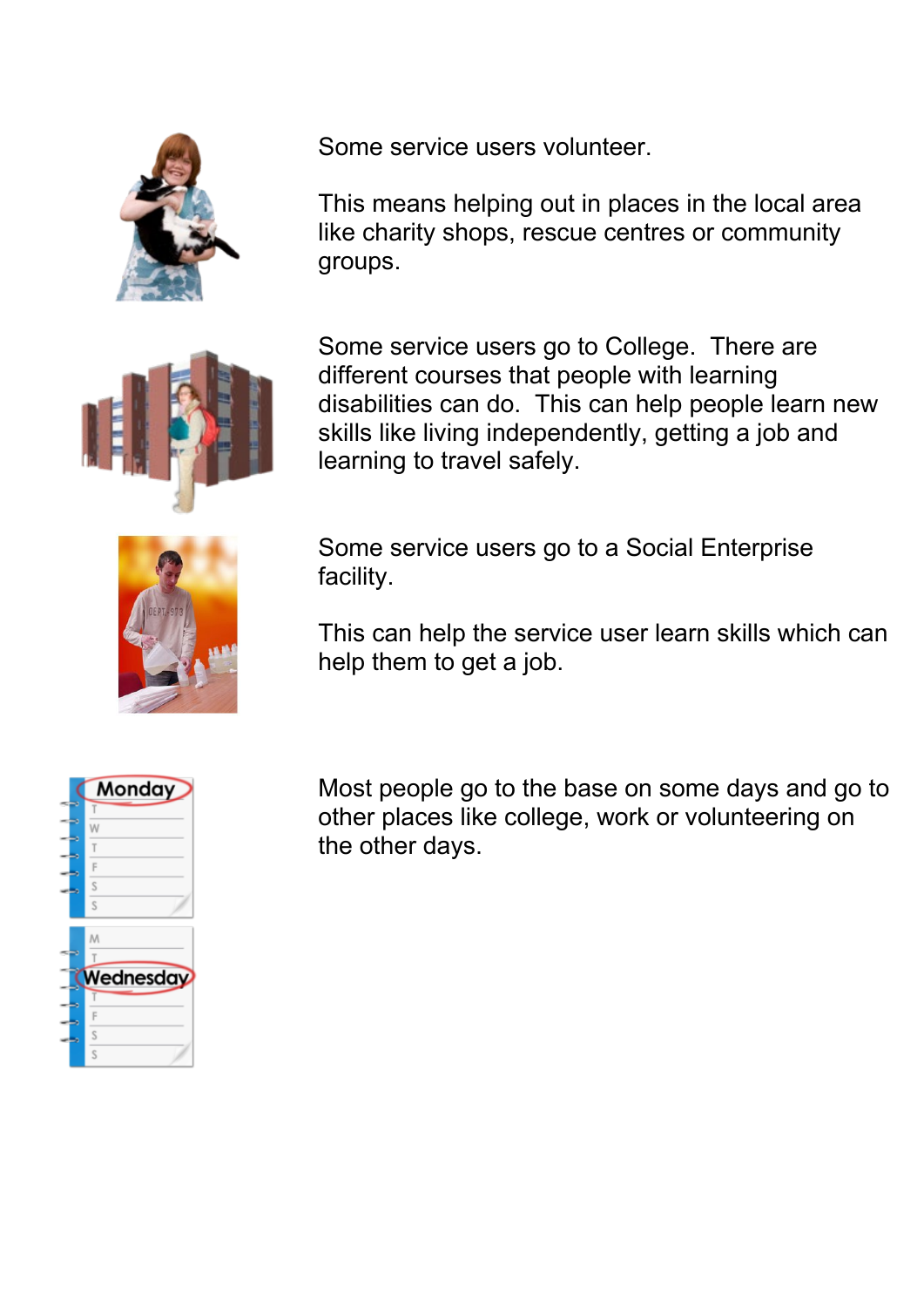

Some service users volunteer.

This means helping out in places in the local area like charity shops, rescue centres or community groups.



Some service users go to College. There are different courses that people with learning disabilities can do. This can help people learn new skills like living independently, getting a job and learning to travel safely.



Some service users go to a Social Enterprise facility.

This can help the service user learn skills which can help them to get a job.



Most people go to the base on some days and go to other places like college, work or volunteering on the other days.